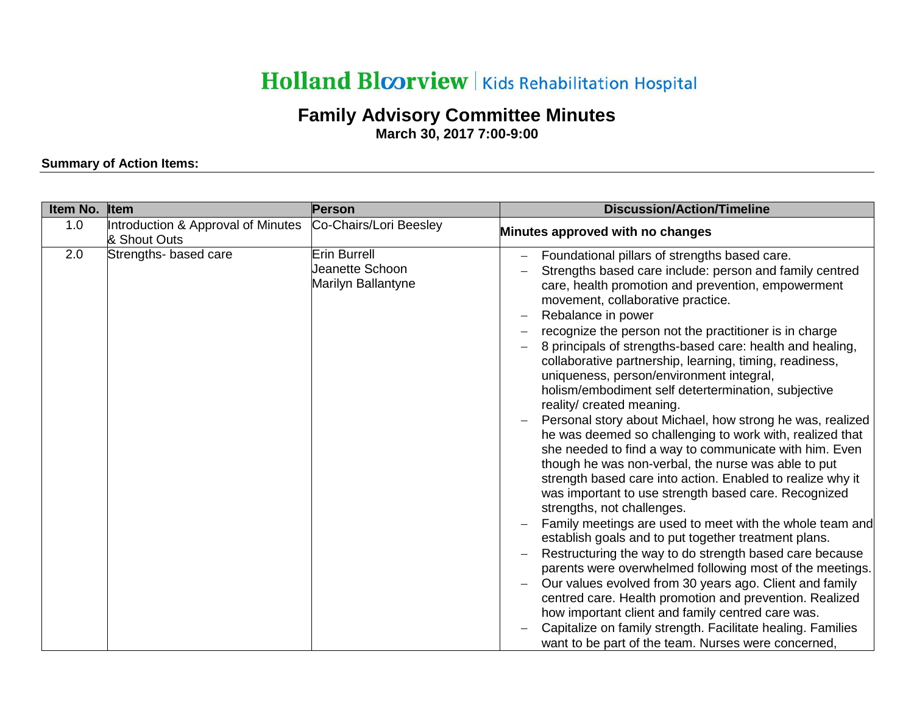## Holland Bloorview | Kids Rehabilitation Hospital

## **Family Advisory Committee Minutes**

**March 30, 2017 7:00-9:00**

## **Summary of Action Items:**

| Item No. | Item                                               | Person                                                       | <b>Discussion/Action/Timeline</b>                                                                                                                                                                                                                                                                                                                                                                                                                                                                                                                                                                                                                                                                                                                                                                                                                                                                                                                                                                                                                                                                                                                                                                                                                                                                                                                                                                                                                                                     |
|----------|----------------------------------------------------|--------------------------------------------------------------|---------------------------------------------------------------------------------------------------------------------------------------------------------------------------------------------------------------------------------------------------------------------------------------------------------------------------------------------------------------------------------------------------------------------------------------------------------------------------------------------------------------------------------------------------------------------------------------------------------------------------------------------------------------------------------------------------------------------------------------------------------------------------------------------------------------------------------------------------------------------------------------------------------------------------------------------------------------------------------------------------------------------------------------------------------------------------------------------------------------------------------------------------------------------------------------------------------------------------------------------------------------------------------------------------------------------------------------------------------------------------------------------------------------------------------------------------------------------------------------|
| 1.0      | Introduction & Approval of Minutes<br>& Shout Outs | Co-Chairs/Lori Beesley                                       | Minutes approved with no changes                                                                                                                                                                                                                                                                                                                                                                                                                                                                                                                                                                                                                                                                                                                                                                                                                                                                                                                                                                                                                                                                                                                                                                                                                                                                                                                                                                                                                                                      |
| 2.0      | Strengths- based care                              | <b>Erin Burrell</b><br>Jeanette Schoon<br>Marilyn Ballantyne | Foundational pillars of strengths based care.<br>Strengths based care include: person and family centred<br>care, health promotion and prevention, empowerment<br>movement, collaborative practice.<br>Rebalance in power<br>recognize the person not the practitioner is in charge<br>8 principals of strengths-based care: health and healing,<br>collaborative partnership, learning, timing, readiness,<br>uniqueness, person/environment integral,<br>holism/embodiment self detertermination, subjective<br>reality/ created meaning.<br>Personal story about Michael, how strong he was, realized<br>he was deemed so challenging to work with, realized that<br>she needed to find a way to communicate with him. Even<br>though he was non-verbal, the nurse was able to put<br>strength based care into action. Enabled to realize why it<br>was important to use strength based care. Recognized<br>strengths, not challenges.<br>Family meetings are used to meet with the whole team and<br>establish goals and to put together treatment plans.<br>Restructuring the way to do strength based care because<br>parents were overwhelmed following most of the meetings.<br>Our values evolved from 30 years ago. Client and family<br>centred care. Health promotion and prevention. Realized<br>how important client and family centred care was.<br>Capitalize on family strength. Facilitate healing. Families<br>want to be part of the team. Nurses were concerned, |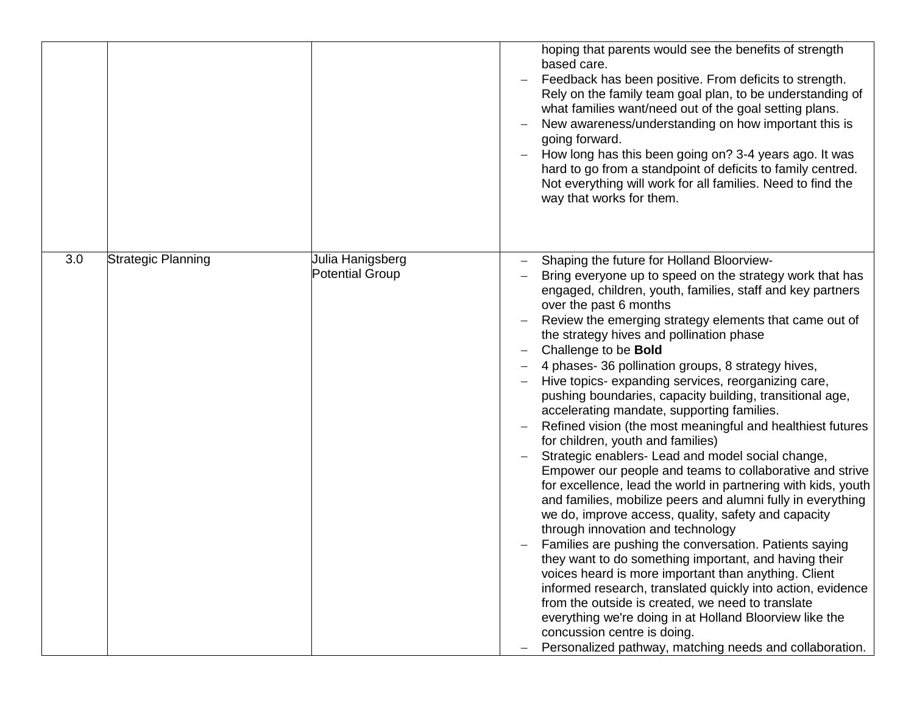|     |                    |                                            | hoping that parents would see the benefits of strength<br>based care.<br>Feedback has been positive. From deficits to strength.<br>Rely on the family team goal plan, to be understanding of<br>what families want/need out of the goal setting plans.<br>New awareness/understanding on how important this is<br>going forward.<br>How long has this been going on? 3-4 years ago. It was<br>hard to go from a standpoint of deficits to family centred.<br>Not everything will work for all families. Need to find the<br>way that works for them.                                                                                                                                                                                                                                                                                                                                                                                                                                                                                                                                                                                                                                                                                                                                                                                                                                                                                                          |
|-----|--------------------|--------------------------------------------|---------------------------------------------------------------------------------------------------------------------------------------------------------------------------------------------------------------------------------------------------------------------------------------------------------------------------------------------------------------------------------------------------------------------------------------------------------------------------------------------------------------------------------------------------------------------------------------------------------------------------------------------------------------------------------------------------------------------------------------------------------------------------------------------------------------------------------------------------------------------------------------------------------------------------------------------------------------------------------------------------------------------------------------------------------------------------------------------------------------------------------------------------------------------------------------------------------------------------------------------------------------------------------------------------------------------------------------------------------------------------------------------------------------------------------------------------------------|
| 3.0 | Strategic Planning | Julia Hanigsberg<br><b>Potential Group</b> | Shaping the future for Holland Bloorview-<br>Bring everyone up to speed on the strategy work that has<br>engaged, children, youth, families, staff and key partners<br>over the past 6 months<br>Review the emerging strategy elements that came out of<br>the strategy hives and pollination phase<br>Challenge to be <b>Bold</b><br>4 phases- 36 pollination groups, 8 strategy hives,<br>Hive topics- expanding services, reorganizing care,<br>pushing boundaries, capacity building, transitional age,<br>accelerating mandate, supporting families.<br>Refined vision (the most meaningful and healthiest futures<br>for children, youth and families)<br>Strategic enablers- Lead and model social change,<br>Empower our people and teams to collaborative and strive<br>for excellence, lead the world in partnering with kids, youth<br>and families, mobilize peers and alumni fully in everything<br>we do, improve access, quality, safety and capacity<br>through innovation and technology<br>Families are pushing the conversation. Patients saying<br>they want to do something important, and having their<br>voices heard is more important than anything. Client<br>informed research, translated quickly into action, evidence<br>from the outside is created, we need to translate<br>everything we're doing in at Holland Bloorview like the<br>concussion centre is doing.<br>Personalized pathway, matching needs and collaboration. |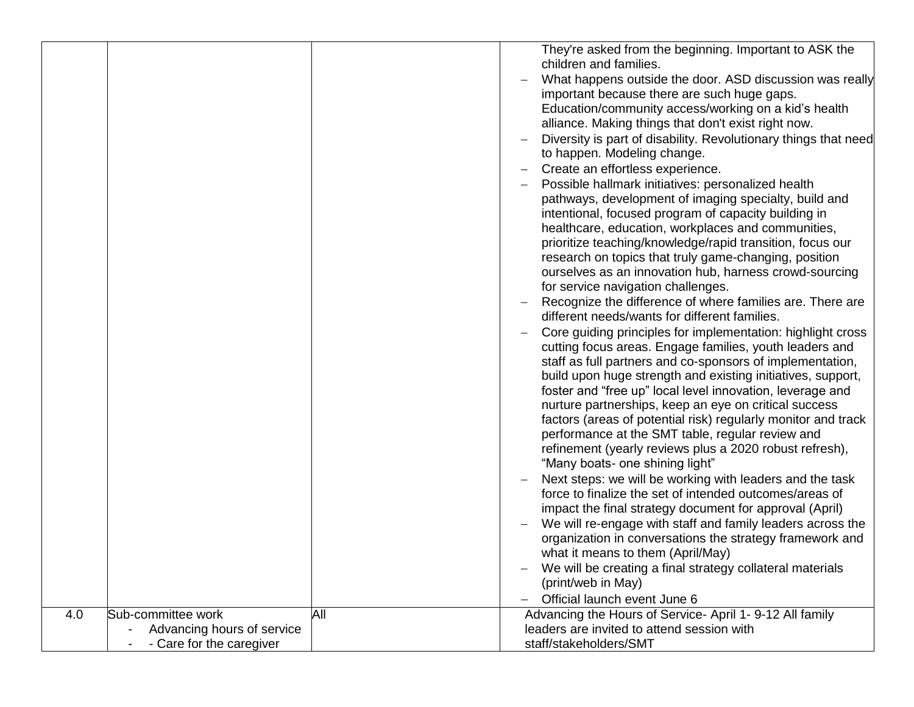|     |                            |     | They're asked from the beginning. Important to ASK the          |
|-----|----------------------------|-----|-----------------------------------------------------------------|
|     |                            |     | children and families.                                          |
|     |                            |     |                                                                 |
|     |                            |     | What happens outside the door. ASD discussion was really        |
|     |                            |     | important because there are such huge gaps.                     |
|     |                            |     | Education/community access/working on a kid's health            |
|     |                            |     | alliance. Making things that don't exist right now.             |
|     |                            |     | Diversity is part of disability. Revolutionary things that need |
|     |                            |     | to happen. Modeling change.                                     |
|     |                            |     | Create an effortless experience.                                |
|     |                            |     | Possible hallmark initiatives: personalized health              |
|     |                            |     | pathways, development of imaging specialty, build and           |
|     |                            |     | intentional, focused program of capacity building in            |
|     |                            |     |                                                                 |
|     |                            |     | healthcare, education, workplaces and communities,              |
|     |                            |     | prioritize teaching/knowledge/rapid transition, focus our       |
|     |                            |     | research on topics that truly game-changing, position           |
|     |                            |     | ourselves as an innovation hub, harness crowd-sourcing          |
|     |                            |     | for service navigation challenges.                              |
|     |                            |     | Recognize the difference of where families are. There are       |
|     |                            |     | different needs/wants for different families.                   |
|     |                            |     | Core guiding principles for implementation: highlight cross     |
|     |                            |     | cutting focus areas. Engage families, youth leaders and         |
|     |                            |     | staff as full partners and co-sponsors of implementation,       |
|     |                            |     | build upon huge strength and existing initiatives, support,     |
|     |                            |     | foster and "free up" local level innovation, leverage and       |
|     |                            |     | nurture partnerships, keep an eye on critical success           |
|     |                            |     | factors (areas of potential risk) regularly monitor and track   |
|     |                            |     | performance at the SMT table, regular review and                |
|     |                            |     |                                                                 |
|     |                            |     | refinement (yearly reviews plus a 2020 robust refresh),         |
|     |                            |     | "Many boats- one shining light"                                 |
|     |                            |     | Next steps: we will be working with leaders and the task        |
|     |                            |     | force to finalize the set of intended outcomes/areas of         |
|     |                            |     | impact the final strategy document for approval (April)         |
|     |                            |     | We will re-engage with staff and family leaders across the      |
|     |                            |     | organization in conversations the strategy framework and        |
|     |                            |     | what it means to them (April/May)                               |
|     |                            |     | We will be creating a final strategy collateral materials       |
|     |                            |     | (print/web in May)                                              |
|     |                            |     |                                                                 |
|     |                            |     | Official launch event June 6                                    |
| 4.0 | Sub-committee work         | All | Advancing the Hours of Service- April 1- 9-12 All family        |
|     | Advancing hours of service |     | leaders are invited to attend session with                      |
|     | - Care for the caregiver   |     | staff/stakeholders/SMT                                          |